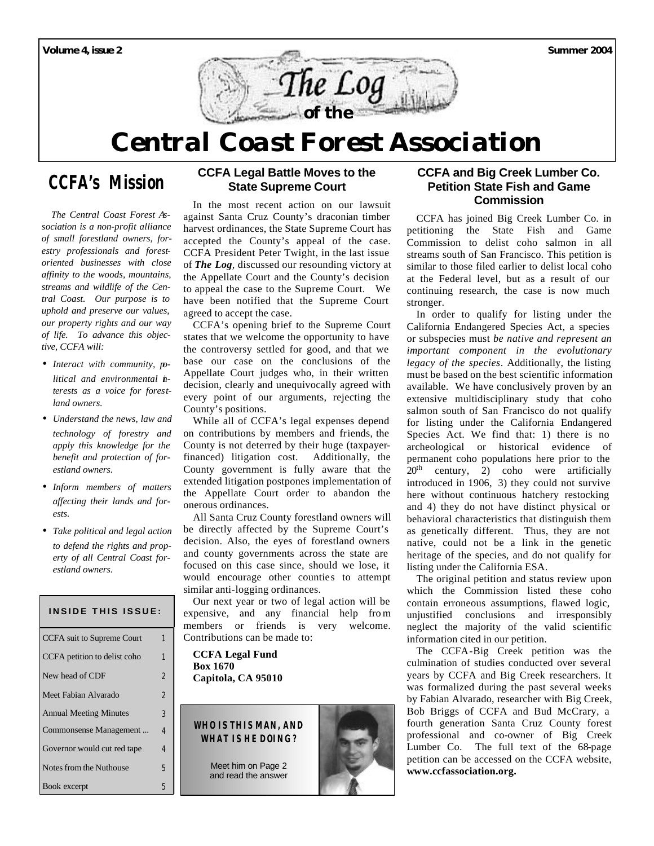

# *Central Coast Forest Association*

# **CCFA's Mission**

 *The Central Coast Forest Association is a non-profit alliance of small forestland owners, forestry professionals and forestoriented businesses with close affinity to the woods, mountains, streams and wildlife of the Central Coast. Our purpose is to uphold and preserve our values, our property rights and our way of life. To advance this objective, CCFA will:*

- *Interact with community, political and environmental interests as a voice for forestland owners.*
- *Understand the news, law and technology of forestry and apply this knowledge for the benefit and protection of forestland owners.*
- *Inform members of matters affecting their lands and forests.*
- *Take political and legal action to defend the rights and property of all Central Coast forestland owners.*

# **INSIDE THIS ISSUE:** CCFA suit to Supreme Court 1 CCFA petition to delist coho 1 New head of CDF 2 Meet Fabian Alvarado 2 Annual Meeting Minutes 3 Commonsense Management ... 4 Governor would cut red tape 4 Notes from the Nuthouse 5 Book excerpt 5

#### **CCFA Legal Battle Moves to the State Supreme Court**

In the most recent action on our lawsuit against Santa Cruz County's draconian timber harvest ordinances, the State Supreme Court has accepted the County's appeal of the case. CCFA President Peter Twight, in the last issue of *The Log,* discussed our resounding victory at the Appellate Court and the County's decision to appeal the case to the Supreme Court. We have been notified that the Supreme Court agreed to accept the case.

CCFA's opening brief to the Supreme Court states that we welcome the opportunity to have the controversy settled for good, and that we base our case on the conclusions of the Appellate Court judges who, in their written decision, clearly and unequivocally agreed with every point of our arguments, rejecting the County's positions.

While all of CCFA's legal expenses depend on contributions by members and friends, the County is not deterred by their huge (taxpayerfinanced) litigation cost. Additionally, the County government is fully aware that the extended litigation postpones implementation of the Appellate Court order to abandon the onerous ordinances.

All Santa Cruz County forestland owners will be directly affected by the Supreme Court's decision. Also, the eyes of forestland owners and county governments across the state are focused on this case since, should we lose, it would encourage other counties to attempt similar anti-logging ordinances.

Our next year or two of legal action will be expensive, and any financial help fro m members or friends is very welcome. Contributions can be made to:

**CCFA Legal Fund Box 1670 Capitola, CA 95010**

## **WHO IS THIS MAN, AND WHAT IS HE DOING?**

Meet him on Page 2 and read the answer



### **CCFA and Big Creek Lumber Co. Petition State Fish and Game Commission**

CCFA has joined Big Creek Lumber Co. in petitioning the State Fish and Game Commission to delist coho salmon in all streams south of San Francisco. This petition is similar to those filed earlier to delist local coho at the Federal level, but as a result of our continuing research, the case is now much stronger.

In order to qualify for listing under the California Endangered Species Act, a species or subspecies must *be native and represent an important component in the evolutionary legacy of the species*. Additionally, the listing must be based on the best scientific information available. We have conclusively proven by an extensive multidisciplinary study that coho salmon south of San Francisco do not qualify for listing under the California Endangered Species Act. We find that: 1) there is no archeological or historical evidence of permanent coho populations here prior to the  $20<sup>th</sup>$  century, 2) coho were artificially introduced in 1906, 3) they could not survive here without continuous hatchery restocking and 4) they do not have distinct physical or behavioral characteristics that distinguish them as genetically different. Thus, they are not native, could not be a link in the genetic heritage of the species, and do not qualify for listing under the California ESA.

The original petition and status review upon which the Commission listed these coho contain erroneous assumptions, flawed logic, unjustified conclusions and irresponsibly neglect the majority of the valid scientific information cited in our petition.

The CCFA-Big Creek petition was the culmination of studies conducted over several years by CCFA and Big Creek researchers. It was formalized during the past several weeks by Fabian Alvarado, researcher with Big Creek, Bob Briggs of CCFA and Bud McCrary, a fourth generation Santa Cruz County forest professional and co-owner of Big Creek Lumber Co. The full text of the 68-page petition can be accessed on the CCFA website, **www.ccfassociation.org.**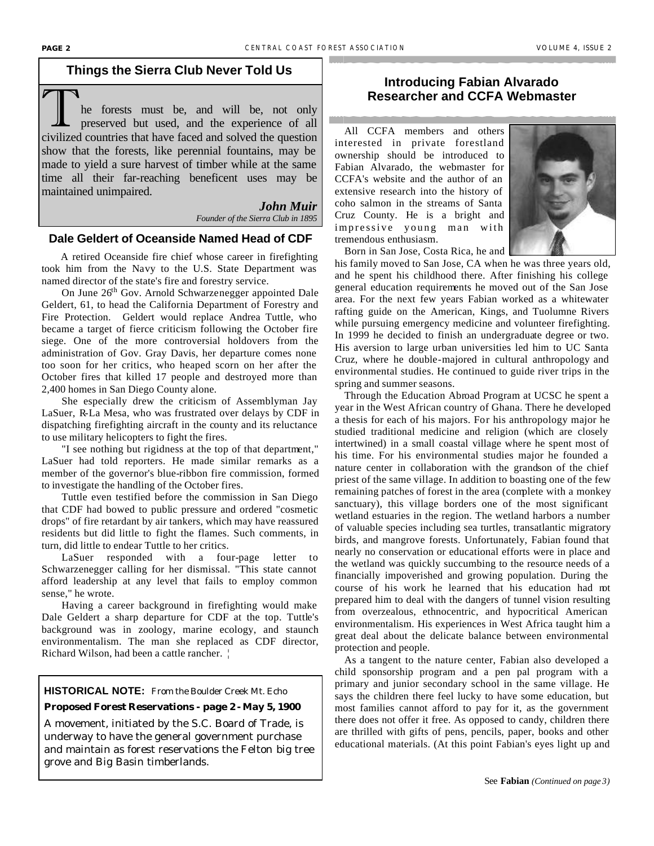# **Things the Sierra Club Never Told Us**

The forests must be, and will be, not only<br>preserved but used, and the experience of all<br>civilized countries that have food and solved the question civilized countries that have faced and solved the question show that the forests, like perennial fountains, may be made to yield a sure harvest of timber while at the same time all their far-reaching beneficent uses may be maintained unimpaired.

> *John Muir Founder of the Sierra Club in 1895*

#### **Dale Geldert of Oceanside Named Head of CDF**

A retired Oceanside fire chief whose career in firefighting took him from the Navy to the U.S. State Department was named director of the state's fire and forestry service.

On June 26<sup>th</sup> Gov. Arnold Schwarzenegger appointed Dale Geldert, 61, to head the California Department of Forestry and Fire Protection. Geldert would replace Andrea Tuttle, who became a target of fierce criticism following the October fire siege. One of the more controversial holdovers from the administration of Gov. Gray Davis, her departure comes none too soon for her critics, who heaped scorn on her after the October fires that killed 17 people and destroyed more than 2,400 homes in San Diego County alone.

She especially drew the criticism of Assemblyman Jay LaSuer, R-La Mesa, who was frustrated over delays by CDF in dispatching firefighting aircraft in the county and its reluctance to use military helicopters to fight the fires.

"I see nothing but rigidness at the top of that department," LaSuer had told reporters. He made similar remarks as a member of the governor's blue-ribbon fire commission, formed to investigate the handling of the October fires.

Tuttle even testified before the commission in San Diego that CDF had bowed to public pressure and ordered "cosmetic drops" of fire retardant by air tankers, which may have reassured residents but did little to fight the flames. Such comments, in turn, did little to endear Tuttle to her critics.

LaSuer responded with a four-page letter to Schwarzenegger calling for her dismissal. "This state cannot afford leadership at any level that fails to employ common sense," he wrote.

Having a career background in firefighting would make Dale Geldert a sharp departure for CDF at the top. Tuttle's background was in zoology, marine ecology, and staunch environmentalism. The man she replaced as CDF director, Richard Wilson, had been a cattle rancher. ¦

#### **HISTORICAL NOTE:** From the Boulder Creek Mt. Echo

# **Proposed Forest Reservations - page 2 - May 5, 1900**

A movement, initiated by the S.C. Board of Trade, is underway to have the general government purchase and maintain as forest reservations the Felton big tree grove and Big Basin timberlands.

## **Introducing Fabian Alvarado Researcher and CCFA Webmaster**

 All CCFA members and others interested in private forestland ownership should be introduced to Fabian Alvarado, the webmaster for CCFA's website and the author of an extensive research into the history of coho salmon in the streams of Santa Cruz County. He is a bright and impressive young man with tremendous enthusiasm.



his family moved to San Jose, CA when he was three years old, and he spent his childhood there. After finishing his college general education requirements he moved out of the San Jose area. For the next few years Fabian worked as a whitewater rafting guide on the American, Kings, and Tuolumne Rivers while pursuing emergency medicine and volunteer firefighting. In 1999 he decided to finish an undergraduate degree or two. His aversion to large urban universities led him to UC Santa Cruz, where he double-majored in cultural anthropology and environmental studies. He continued to guide river trips in the spring and summer seasons.

 Through the Education Abroad Program at UCSC he spent a year in the West African country of Ghana. There he developed a thesis for each of his majors. For his anthropology major he studied traditional medicine and religion (which are closely intertwined) in a small coastal village where he spent most of his time. For his environmental studies major he founded a nature center in collaboration with the grandson of the chief priest of the same village. In addition to boasting one of the few remaining patches of forest in the area (complete with a monkey sanctuary), this village borders one of the most significant wetland estuaries in the region. The wetland harbors a number of valuable species including sea turtles, transatlantic migratory birds, and mangrove forests. Unfortunately, Fabian found that nearly no conservation or educational efforts were in place and the wetland was quickly succumbing to the resource needs of a financially impoverished and growing population. During the course of his work he learned that his education had not prepared him to deal with the dangers of tunnel vision resulting from overzealous, ethnocentric, and hypocritical American environmentalism. His experiences in West Africa taught him a great deal about the delicate balance between environmental protection and people.

 As a tangent to the nature center, Fabian also developed a child sponsorship program and a pen pal program with a primary and junior secondary school in the same village. He says the children there feel lucky to have some education, but most families cannot afford to pay for it, as the government there does not offer it free. As opposed to candy, children there are thrilled with gifts of pens, pencils, paper, books and other educational materials. (At this point Fabian's eyes light up and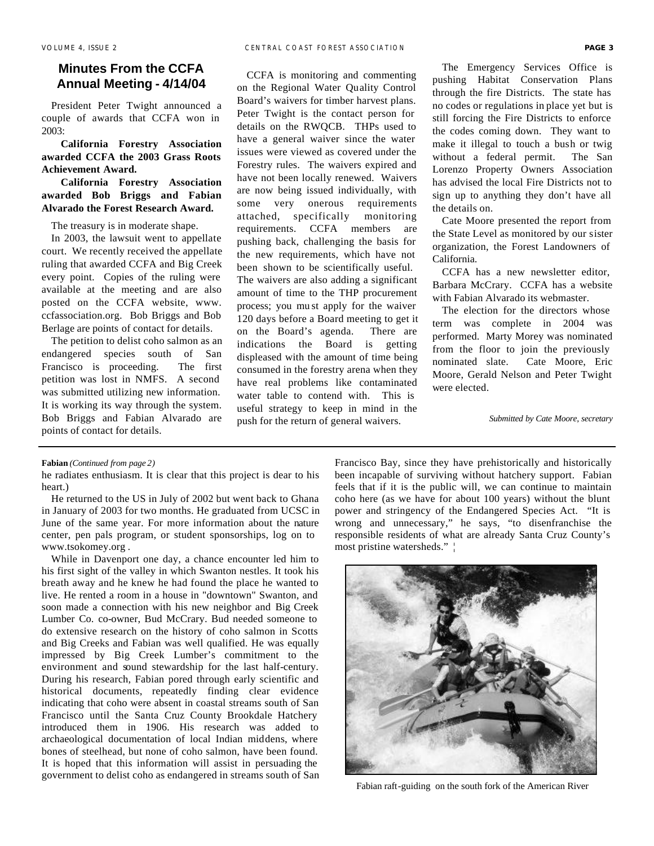## **Minutes From the CCFA Annual Meeting - 4/14/04**

 President Peter Twight announced a couple of awards that CCFA won in 2003:

 **California Forestry Association awarded CCFA the 2003 Grass Roots Achievement Award.**

# **California Forestry Association awarded Bob Briggs and Fabian Alvarado the Forest Research Award.**

The treasury is in moderate shape.

 In 2003, the lawsuit went to appellate court. We recently received the appellate ruling that awarded CCFA and Big Creek every point. Copies of the ruling were available at the meeting and are also posted on the CCFA website, www. ccfassociation.org. Bob Briggs and Bob Berlage are points of contact for details.

 The petition to delist coho salmon as an endangered species south of San Francisco is proceeding. The first petition was lost in NMFS. A second was submitted utilizing new information. It is working its way through the system. Bob Briggs and Fabian Alvarado are points of contact for details.

 CCFA is monitoring and commenting on the Regional Water Quality Control Board's waivers for timber harvest plans. Peter Twight is the contact person for details on the RWQCB. THPs used to have a general waiver since the water issues were viewed as covered under the Forestry rules. The waivers expired and have not been locally renewed. Waivers are now being issued individually, with some very onerous requirements attached, specifically monitoring requirements. CCFA members are pushing back, challenging the basis for the new requirements, which have not been shown to be scientifically useful. The waivers are also adding a significant amount of time to the THP procurement process; you mu st apply for the waiver 120 days before a Board meeting to get it on the Board's agenda. There are indications the Board is getting displeased with the amount of time being consumed in the forestry arena when they have real problems like contaminated water table to contend with. This is useful strategy to keep in mind in the push for the return of general waivers.

 The Emergency Services Office is pushing Habitat Conservation Plans through the fire Districts. The state has no codes or regulations in place yet but is still forcing the Fire Districts to enforce the codes coming down. They want to make it illegal to touch a bush or twig without a federal permit. The San Lorenzo Property Owners Association has advised the local Fire Districts not to sign up to anything they don't have all the details on.

 Cate Moore presented the report from the State Level as monitored by our sister organization, the Forest Landowners of California.

 CCFA has a new newsletter editor, Barbara McCrary. CCFA has a website with Fabian Alvarado its webmaster.

 The election for the directors whose term was complete in 2004 was performed. Marty Morey was nominated from the floor to join the previously nominated slate. Cate Moore, Eric Moore, Gerald Nelson and Peter Twight were elected.

*Submitted by Cate Moore, secretary*

#### **Fabian** *(Continued from page 2)*

he radiates enthusiasm. It is clear that this project is dear to his heart.)

 He returned to the US in July of 2002 but went back to Ghana in January of 2003 for two months. He graduated from UCSC in June of the same year. For more information about the nature center, pen pals program, or student sponsorships, log on to www.tsokomey.org .

 While in Davenport one day, a chance encounter led him to his first sight of the valley in which Swanton nestles. It took his breath away and he knew he had found the place he wanted to live. He rented a room in a house in "downtown" Swanton, and soon made a connection with his new neighbor and Big Creek Lumber Co. co-owner, Bud McCrary. Bud needed someone to do extensive research on the history of coho salmon in Scotts and Big Creeks and Fabian was well qualified. He was equally impressed by Big Creek Lumber's commitment to the environment and sound stewardship for the last half-century. During his research, Fabian pored through early scientific and historical documents, repeatedly finding clear evidence indicating that coho were absent in coastal streams south of San Francisco until the Santa Cruz County Brookdale Hatchery introduced them in 1906. His research was added to archaeological documentation of local Indian middens, where bones of steelhead, but none of coho salmon, have been found. It is hoped that this information will assist in persuading the government to delist coho as endangered in streams south of San Francisco Bay, since they have prehistorically and historically been incapable of surviving without hatchery support. Fabian feels that if it is the public will, we can continue to maintain coho here (as we have for about 100 years) without the blunt power and stringency of the Endangered Species Act. "It is wrong and unnecessary," he says, "to disenfranchise the responsible residents of what are already Santa Cruz County's most pristine watersheds." ¦



Fabian raft-guiding on the south fork of the American River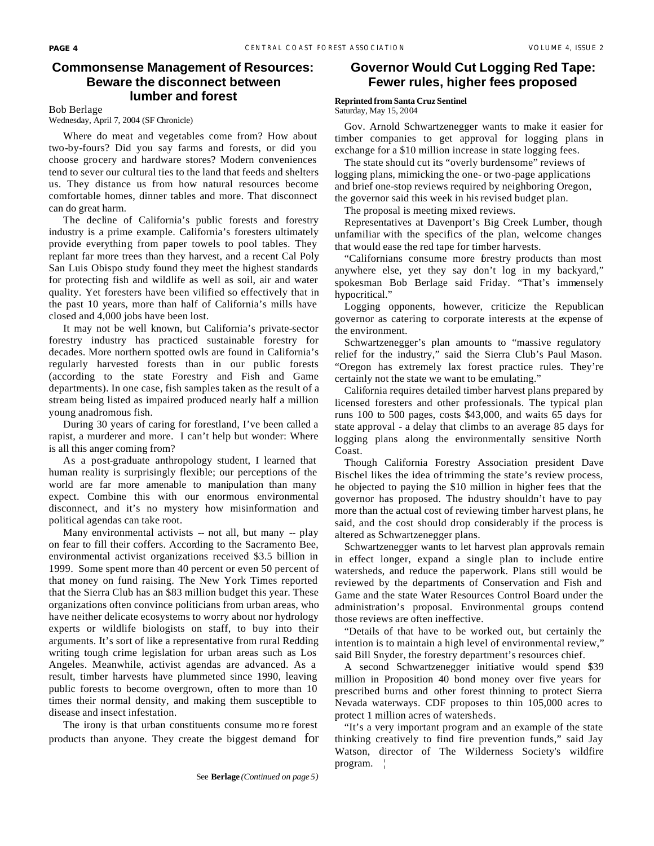#### **Commonsense Management of Resources: Beware the disconnect between lumber and forest**

Bob Berlage

#### Wednesday, April 7, 2004 (SF Chronicle)

 Where do meat and vegetables come from? How about two-by-fours? Did you say farms and forests, or did you choose grocery and hardware stores? Modern conveniences tend to sever our cultural ties to the land that feeds and shelters us. They distance us from how natural resources become comfortable homes, dinner tables and more. That disconnect can do great harm.

 The decline of California's public forests and forestry industry is a prime example. California's foresters ultimately provide everything from paper towels to pool tables. They replant far more trees than they harvest, and a recent Cal Poly San Luis Obispo study found they meet the highest standards for protecting fish and wildlife as well as soil, air and water quality. Yet foresters have been vilified so effectively that in the past 10 years, more than half of California's mills have closed and 4,000 jobs have been lost.

 It may not be well known, but California's private-sector forestry industry has practiced sustainable forestry for decades. More northern spotted owls are found in California's regularly harvested forests than in our public forests (according to the state Forestry and Fish and Game departments). In one case, fish samples taken as the result of a stream being listed as impaired produced nearly half a million young anadromous fish.

 During 30 years of caring for forestland, I've been called a rapist, a murderer and more. I can't help but wonder: Where is all this anger coming from?

 As a post-graduate anthropology student, I learned that human reality is surprisingly flexible; our perceptions of the world are far more amenable to manipulation than many expect. Combine this with our enormous environmental disconnect, and it's no mystery how misinformation and political agendas can take root.

Many environmental activists -- not all, but many -- play on fear to fill their coffers. According to the Sacramento Bee, environmental activist organizations received \$3.5 billion in 1999. Some spent more than 40 percent or even 50 percent of that money on fund raising. The New York Times reported that the Sierra Club has an \$83 million budget this year. These organizations often convince politicians from urban areas, who have neither delicate ecosystems to worry about nor hydrology experts or wildlife biologists on staff, to buy into their arguments. It's sort of like a representative from rural Redding writing tough crime legislation for urban areas such as Los Angeles. Meanwhile, activist agendas are advanced. As a result, timber harvests have plummeted since 1990, leaving public forests to become overgrown, often to more than 10 times their normal density, and making them susceptible to disease and insect infestation.

 The irony is that urban constituents consume mo re forest products than anyone. They create the biggest demand for

# **Governor Would Cut Logging Red Tape: Fewer rules, higher fees proposed**

#### **Reprinted from Santa Cruz Sentinel**  Saturday, May 15, 2004

Gov. Arnold Schwartzenegger wants to make it easier for timber companies to get approval for logging plans in

exchange for a \$10 million increase in state logging fees. The state should cut its "overly burdensome" reviews of

logging plans, mimicking the one- or two-page applications and brief one-stop reviews required by neighboring Oregon, the governor said this week in his revised budget plan.

The proposal is meeting mixed reviews.

Representatives at Davenport's Big Creek Lumber, though unfamiliar with the specifics of the plan, welcome changes that would ease the red tape for timber harvests.

"Californians consume more firestry products than most anywhere else, yet they say don't log in my backyard," spokesman Bob Berlage said Friday. "That's immensely hypocritical."

Logging opponents, however, criticize the Republican governor as catering to corporate interests at the expense of the environment.

Schwartzenegger's plan amounts to "massive regulatory relief for the industry," said the Sierra Club's Paul Mason. "Oregon has extremely lax forest practice rules. They're certainly not the state we want to be emulating."

California requires detailed timber harvest plans prepared by licensed foresters and other professionals. The typical plan runs 100 to 500 pages, costs \$43,000, and waits 65 days for state approval - a delay that climbs to an average 85 days for logging plans along the environmentally sensitive North Coast.

Though California Forestry Association president Dave Bischel likes the idea of trimming the state's review process, he objected to paying the \$10 million in higher fees that the governor has proposed. The industry shouldn't have to pay more than the actual cost of reviewing timber harvest plans, he said, and the cost should drop considerably if the process is altered as Schwartzenegger plans.

Schwartzenegger wants to let harvest plan approvals remain in effect longer, expand a single plan to include entire watersheds, and reduce the paperwork. Plans still would be reviewed by the departments of Conservation and Fish and Game and the state Water Resources Control Board under the administration's proposal. Environmental groups contend those reviews are often ineffective.

"Details of that have to be worked out, but certainly the intention is to maintain a high level of environmental review," said Bill Snyder, the forestry department's resources chief.

A second Schwartzenegger initiative would spend \$39 million in Proposition 40 bond money over five years for prescribed burns and other forest thinning to protect Sierra Nevada waterways. CDF proposes to thin 105,000 acres to protect 1 million acres of watersheds.

"It's a very important program and an example of the state thinking creatively to find fire prevention funds," said Jay Watson, director of The Wilderness Society's wildfire program. ¦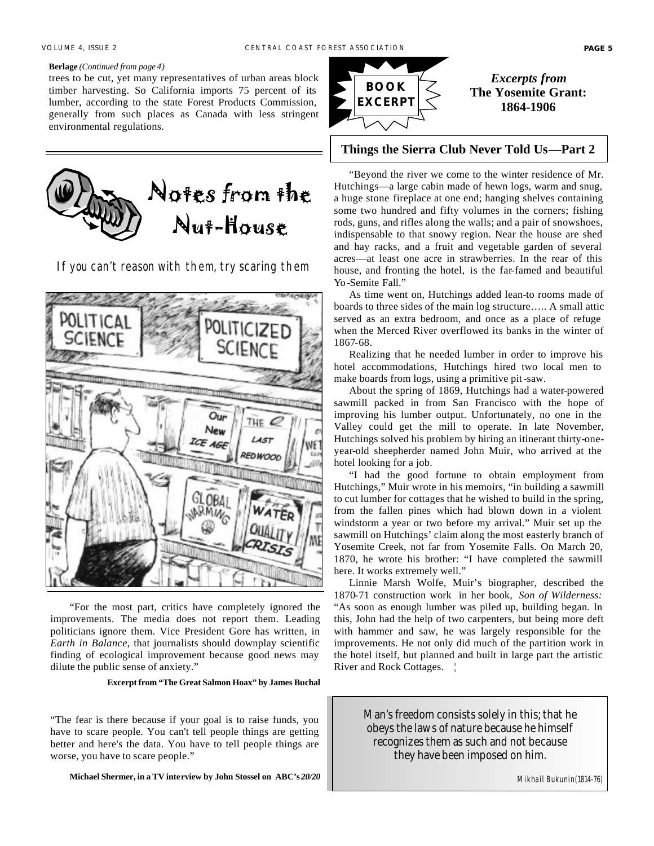#### **Berlage** *(Continued from page 4)*

trees to be cut, yet many representatives of urban areas block timber harvesting. So California imports 75 percent of its lumber, according to the state Forest Products Commission, generally from such places as Canada with less stringent environmental regulations.



**If you can't reason with them, try scaring them**



 "For the most part, critics have completely ignored the improvements. The media does not report them. Leading politicians ignore them. Vice President Gore has written, in *Earth in Balance*, that journalists should downplay scientific finding of ecological improvement because good news may dilute the public sense of anxiety."

**Excerpt from "The Great Salmon Hoax" by James Buchal**

"The fear is there because if your goal is to raise funds, you have to scare people. You can't tell people things are getting better and here's the data. You have to tell people things are worse, you have to scare people."

**Michael Shermer, in a TV interview by John Stossel on ABC's** *20/20*



#### **Things the Sierra Club Never Told Us—Part 2**

"Beyond the river we come to the winter residence of Mr. Hutchings—a large cabin made of hewn logs, warm and snug, a huge stone fireplace at one end; hanging shelves containing some two hundred and fifty volumes in the corners; fishing rods, guns, and rifles along the walls; and a pair of snowshoes, indispensable to that snowy region. Near the house are shed and hay racks, and a fruit and vegetable garden of several acres—at least one acre in strawberries. In the rear of this house, and fronting the hotel, is the far-famed and beautiful Yo-Semite Fall."

As time went on, Hutchings added lean-to rooms made of boards to three sides of the main log structure….. A small attic served as an extra bedroom, and once as a place of refuge when the Merced River overflowed its banks in the winter of 1867-68.

Realizing that he needed lumber in order to improve his hotel accommodations, Hutchings hired two local men to make boards from logs, using a primitive pit-saw.

About the spring of 1869, Hutchings had a water-powered sawmill packed in from San Francisco with the hope of improving his lumber output. Unfortunately, no one in the Valley could get the mill to operate. In late November, Hutchings solved his problem by hiring an itinerant thirty-oneyear-old sheepherder named John Muir, who arrived at the hotel looking for a job.

"I had the good fortune to obtain employment from Hutchings," Muir wrote in his memoirs, "in building a sawmill to cut lumber for cottages that he wished to build in the spring, from the fallen pines which had blown down in a violent windstorm a year or two before my arrival." Muir set up the sawmill on Hutchings' claim along the most easterly branch of Yosemite Creek, not far from Yosemite Falls. On March 20, 1870, he wrote his brother: "I have completed the sawmill here. It works extremely well."

Linnie Marsh Wolfe, Muir's biographer, described the 1870-71 construction work in her book, *Son of Wilderness:*  "As soon as enough lumber was piled up, building began. In this, John had the help of two carpenters, but being more deft with hammer and saw, he was largely responsible for the improvements. He not only did much of the partition work in the hotel itself, but planned and built in large part the artistic River and Rock Cottages. |

> Man's freedom consists solely in this; that he obeys the laws of nature because he himself recognizes them as such and not because they have been imposed on him.

> > *Mikhail Bukunin (1814-76)*